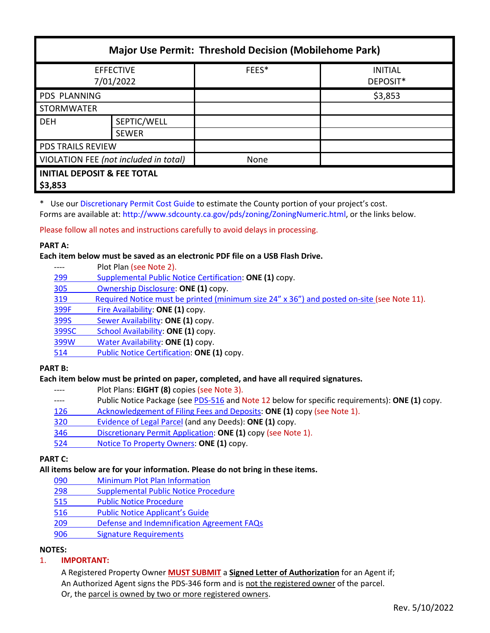| <b>Major Use Permit: Threshold Decision (Mobilehome Park)</b> |                             |       |                            |  |
|---------------------------------------------------------------|-----------------------------|-------|----------------------------|--|
| <b>EFFECTIVE</b><br>7/01/2022                                 |                             | FEES* | <b>INITIAL</b><br>DEPOSIT* |  |
| <b>PDS PLANNING</b>                                           |                             |       | \$3,853                    |  |
| <b>STORMWATER</b>                                             |                             |       |                            |  |
| <b>DEH</b>                                                    | SEPTIC/WELL<br><b>SEWER</b> |       |                            |  |
| <b>PDS TRAILS REVIEW</b>                                      |                             |       |                            |  |
| VIOLATION FEE (not included in total)                         |                             | None  |                            |  |
| <b>INITIAL DEPOSIT &amp; FEE TOTAL</b><br>\$3,853             |                             |       |                            |  |

\* Use our [Discretionary Permit Cost Guide](http://www.sandiegocounty.gov/content/dam/sdc/pds/docs/Discretionary_Permit_Cost_Guide.xlsx) to estimate the County portion of your project's cost.

Forms are available at: [http://www.sdcounty.ca.gov/pds/zoning/ZoningNumeric.html,](http://www.sdcounty.ca.gov/pds/zoning/ZoningNumeric.html) or the links below.

Please follow all notes and instructions carefully to avoid delays in processing.

#### **PART A:**

**Each item below must be saved as an electronic PDF file on a USB Flash Drive.**

- ---- Plot Plan (see Note 2).
- 299 [Supplemental Public Notice](http://www.sdcounty.ca.gov/pds/zoning/formfields/PDS-PLN-299.pdf) Certification: **ONE (1)** copy.
- [305 Ownership Disclosure:](http://www.sdcounty.ca.gov/pds/zoning/formfields/PDS-PLN-305.pdf) **ONE (1)** copy.
- [319 Required Notice must be printed \(minimum size 24" x 36"\) and posted on-site](https://www.sandiegocounty.gov/content/dam/sdc/pds/zoning/formfields/PDS-PLN-319.pdf) (see Note 11).
- [399F Fire Availability:](http://www.sdcounty.ca.gov/pds/zoning/formfields/PDS-PLN-399F.pdf) **ONE (1)** copy.
- 399S [Sewer Availability:](http://www.sdcounty.ca.gov/pds/zoning/formfields/PDS-PLN-399S.pdf) **ONE (1)** copy.
- [399SC School Availability:](http://www.sdcounty.ca.gov/pds/zoning/formfields/PDS-PLN-399SC.pdf) **ONE (1)** copy.
- [399W Water](http://www.sdcounty.ca.gov/pds/zoning/formfields/PDS-PLN-399W.pdf) Availability: **ONE (1)** copy.
- [514 Public Notice Certification:](http://www.sdcounty.ca.gov/pds/zoning/formfields/PDS-PLN-514.pdf) **ONE (1)** copy.

## **PART B:**

## **Each item below must be printed on paper, completed, and have all required signatures.**

- ---- Plot Plans: **EIGHT (8)** copies (see Note 3).
- ---- Public Notice Package (se[e PDS-516 a](https://www.sandiegocounty.gov/pds/zoning/formfields/PDS-PLN-516.pdf)nd Note 12 below for specific requirements): **ONE (1)** copy.
- [126 Acknowledgement of Filing Fees and Deposits:](http://www.sdcounty.ca.gov/pds/zoning/formfields/PDS-PLN-126.pdf) **ONE (1)** copy (see Note 1).
- [320 Evidence of Legal Parcel](http://www.sdcounty.ca.gov/pds/zoning/formfields/PDS-PLN-320.pdf) (and any Deeds): **ONE (1)** copy.
- 346 [Discretionary Permit Application:](http://www.sdcounty.ca.gov/pds/zoning/formfields/PDS-PLN-346.pdf) **ONE (1)** copy (see Note 1).
- 524 [Notice To Property Owners:](http://www.sdcounty.ca.gov/pds/zoning/formfields/PDS-PLN-524.pdf) **ONE (1)** copy.

## **PART C:**

## **All items below are for your information. Please do not bring in these items.**

- 090 [Minimum Plot Plan Information](http://www.sdcounty.ca.gov/pds/docs/pds090.pdf)
- 298 [Supplemental Public Notice Procedure](http://www.sdcounty.ca.gov/pds/zoning/formfields/PDS-PLN-298.pdf)
- [515 Public Notice Procedure](http://www.sdcounty.ca.gov/pds/zoning/formfields/PDS-PLN-515.pdf)
- [516 Public Notice Applicant's Guide](http://www.sdcounty.ca.gov/pds/zoning/formfields/PDS-PLN-516.pdf)
- 209 [Defense and Indemnification Agreement FAQs](http://www.sdcounty.ca.gov/pds/zoning/formfields/PDS-PLN-209.pdf)
- [906 Signature Requirements](http://www.sdcounty.ca.gov/pds/zoning/formfields/PDS-PLN-906.pdf)

# **NOTES:**

# 1. **IMPORTANT:**

A Registered Property Owner **MUST SUBMIT** a **Signed Letter of Authorization** for an Agent if; An Authorized Agent signs the PDS-346 form and is not the registered owner of the parcel. Or, the parcel is owned by two or more registered owners.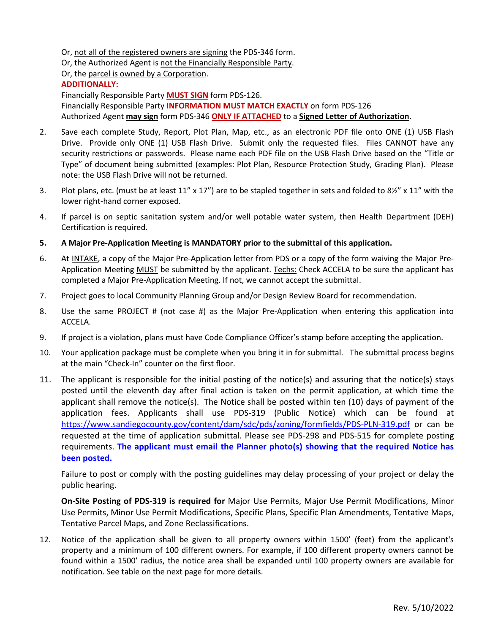Or, not all of the registered owners are signing the PDS-346 form.

Or, the Authorized Agent is not the Financially Responsible Party.

Or, the parcel is owned by a Corporation.

#### **ADDITIONALLY:**

Financially Responsible Party **MUST SIGN** form PDS-126. Financially Responsible Party **INFORMATION MUST MATCH EXACTLY** on form PDS-126 Authorized Agent **may sign** form PDS-346 **ONLY IF ATTACHED** to a **Signed Letter of Authorization.** 

- 2. Save each complete Study, Report, Plot Plan, Map, etc., as an electronic PDF file onto ONE (1) USB Flash Drive. Provide only ONE (1) USB Flash Drive. Submit only the requested files. Files CANNOT have any security restrictions or passwords. Please name each PDF file on the USB Flash Drive based on the "Title or Type" of document being submitted (examples: Plot Plan, Resource Protection Study, Grading Plan). Please note: the USB Flash Drive will not be returned.
- 3. Plot plans, etc. (must be at least 11" x 17") are to be stapled together in sets and folded to 8½" x 11" with the lower right-hand corner exposed.
- 4. If parcel is on septic sanitation system and/or well potable water system, then Health Department (DEH) Certification is required.
- **5. A Major Pre-Application Meeting is MANDATORY prior to the submittal of this application.**
- 6. At INTAKE, a copy of the Major Pre-Application letter from PDS or a copy of the form waiving the Major Pre-Application Meeting MUST be submitted by the applicant. Techs: Check ACCELA to be sure the applicant has completed a Major Pre-Application Meeting. If not, we cannot accept the submittal.
- 7. Project goes to local Community Planning Group and/or Design Review Board for recommendation.
- 8. Use the same PROJECT # (not case #) as the Major Pre-Application when entering this application into ACCELA.
- 9. If project is a violation, plans must have Code Compliance Officer's stamp before accepting the application.
- 10. Your application package must be complete when you bring it in for submittal. The submittal process begins at the main "Check-In" counter on the first floor.
- 11. The applicant is responsible for the initial posting of the notice(s) and assuring that the notice(s) stays posted until the eleventh day after final action is taken on the permit application, at which time the applicant shall remove the notice(s). The Notice shall be posted within ten (10) days of payment of the application fees. Applicants shall use PDS-319 (Public Notice) which can be found at <https://www.sandiegocounty.gov/content/dam/sdc/pds/zoning/formfields/PDS-PLN-319.pdf> or can be requested at the time of application submittal. Please see PDS-298 and PDS-515 for complete posting requirements. **The applicant must email the Planner photo(s) showing that the required Notice has been posted.**

Failure to post or comply with the posting guidelines may delay processing of your project or delay the public hearing.

**On-Site Posting of PDS-319 is required for** Major Use Permits, Major Use Permit Modifications, Minor Use Permits, Minor Use Permit Modifications, Specific Plans, Specific Plan Amendments, Tentative Maps, Tentative Parcel Maps, and Zone Reclassifications.

12. Notice of the application shall be given to all property owners within 1500' (feet) from the applicant's property and a minimum of 100 different owners. For example, if 100 different property owners cannot be found within a 1500' radius, the notice area shall be expanded until 100 property owners are available for notification. See table on the next page for more details.